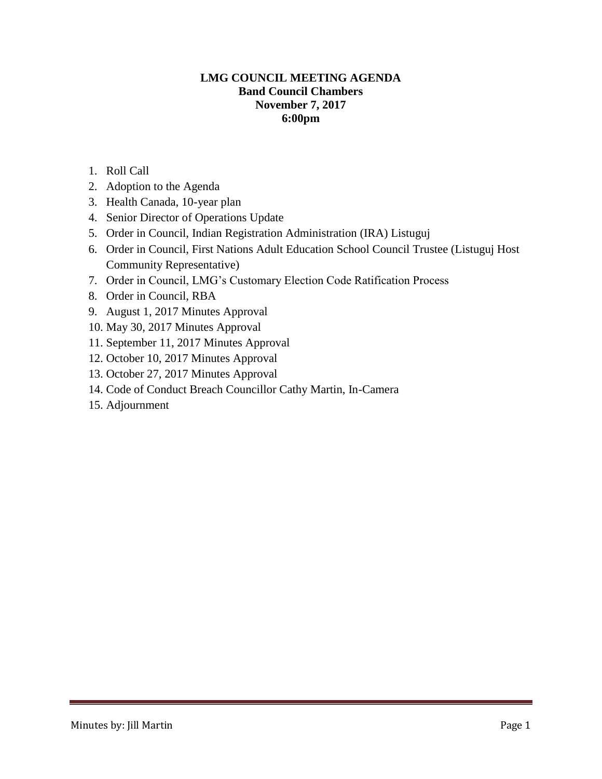# **LMG COUNCIL MEETING AGENDA Band Council Chambers November 7, 2017 6:00pm**

- 1. Roll Call
- 2. Adoption to the Agenda
- 3. Health Canada, 10-year plan
- 4. Senior Director of Operations Update
- 5. Order in Council, Indian Registration Administration (IRA) Listuguj
- 6. Order in Council, First Nations Adult Education School Council Trustee (Listuguj Host Community Representative)
- 7. Order in Council, LMG's Customary Election Code Ratification Process
- 8. Order in Council, RBA
- 9. August 1, 2017 Minutes Approval
- 10. May 30, 2017 Minutes Approval
- 11. September 11, 2017 Minutes Approval
- 12. October 10, 2017 Minutes Approval
- 13. October 27, 2017 Minutes Approval
- 14. Code of Conduct Breach Councillor Cathy Martin, In-Camera
- 15. Adjournment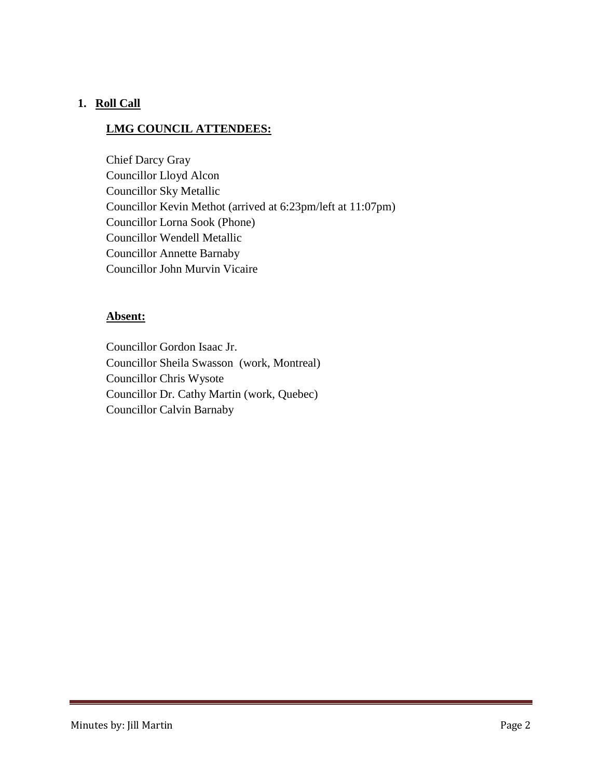# **1. Roll Call**

# **LMG COUNCIL ATTENDEES:**

Chief Darcy Gray Councillor Lloyd Alcon Councillor Sky Metallic Councillor Kevin Methot (arrived at 6:23pm/left at 11:07pm) Councillor Lorna Sook (Phone) Councillor Wendell Metallic Councillor Annette Barnaby Councillor John Murvin Vicaire

## **Absent:**

Councillor Gordon Isaac Jr. Councillor Sheila Swasson (work, Montreal) Councillor Chris Wysote Councillor Dr. Cathy Martin (work, Quebec) Councillor Calvin Barnaby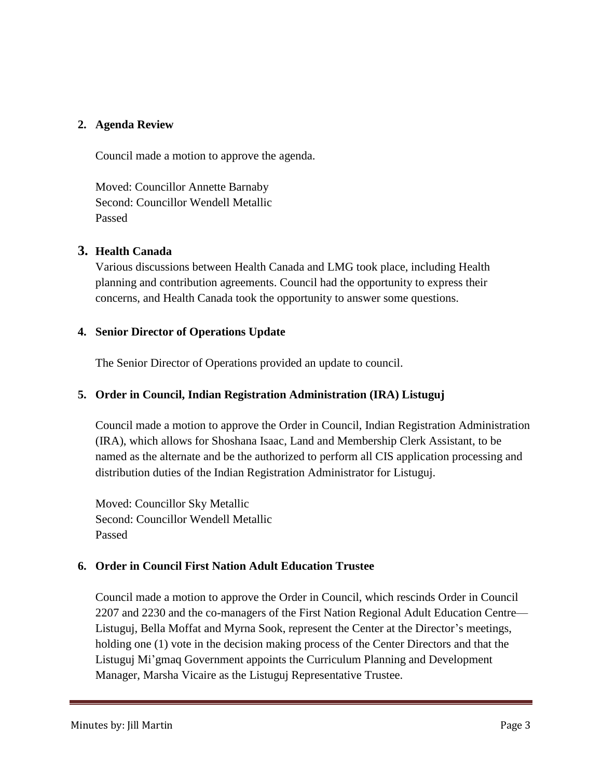#### **2. Agenda Review**

Council made a motion to approve the agenda.

Moved: Councillor Annette Barnaby Second: Councillor Wendell Metallic Passed

## **3. Health Canada**

Various discussions between Health Canada and LMG took place, including Health planning and contribution agreements. Council had the opportunity to express their concerns, and Health Canada took the opportunity to answer some questions.

## **4. Senior Director of Operations Update**

The Senior Director of Operations provided an update to council.

# **5. Order in Council, Indian Registration Administration (IRA) Listuguj**

Council made a motion to approve the Order in Council, Indian Registration Administration (IRA), which allows for Shoshana Isaac, Land and Membership Clerk Assistant, to be named as the alternate and be the authorized to perform all CIS application processing and distribution duties of the Indian Registration Administrator for Listuguj.

Moved: Councillor Sky Metallic Second: Councillor Wendell Metallic Passed

## **6. Order in Council First Nation Adult Education Trustee**

Council made a motion to approve the Order in Council, which rescinds Order in Council 2207 and 2230 and the co-managers of the First Nation Regional Adult Education Centre— Listuguj, Bella Moffat and Myrna Sook, represent the Center at the Director's meetings, holding one (1) vote in the decision making process of the Center Directors and that the Listuguj Mi'gmaq Government appoints the Curriculum Planning and Development Manager, Marsha Vicaire as the Listuguj Representative Trustee.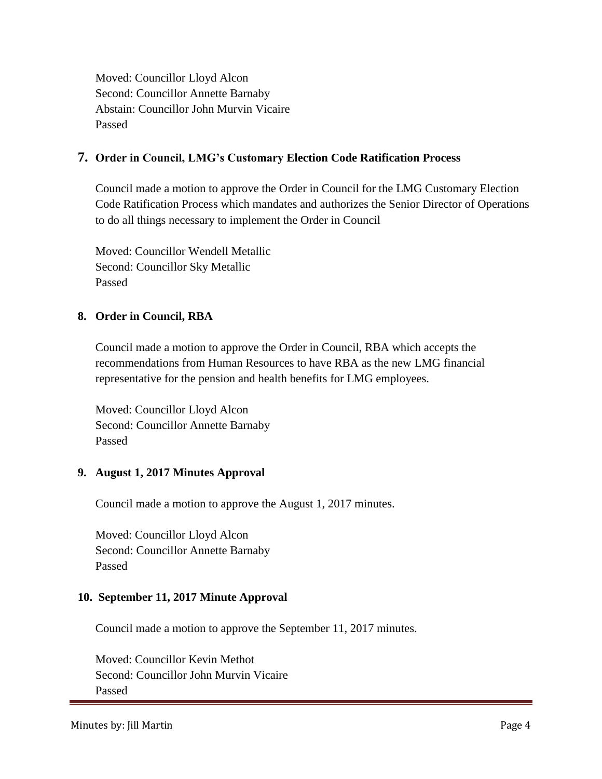Moved: Councillor Lloyd Alcon Second: Councillor Annette Barnaby Abstain: Councillor John Murvin Vicaire Passed

## **7. Order in Council, LMG's Customary Election Code Ratification Process**

Council made a motion to approve the Order in Council for the LMG Customary Election Code Ratification Process which mandates and authorizes the Senior Director of Operations to do all things necessary to implement the Order in Council

Moved: Councillor Wendell Metallic Second: Councillor Sky Metallic Passed

## **8. Order in Council, RBA**

Council made a motion to approve the Order in Council, RBA which accepts the recommendations from Human Resources to have RBA as the new LMG financial representative for the pension and health benefits for LMG employees.

Moved: Councillor Lloyd Alcon Second: Councillor Annette Barnaby Passed

## **9. August 1, 2017 Minutes Approval**

Council made a motion to approve the August 1, 2017 minutes.

Moved: Councillor Lloyd Alcon Second: Councillor Annette Barnaby Passed

#### **10. September 11, 2017 Minute Approval**

Council made a motion to approve the September 11, 2017 minutes.

Moved: Councillor Kevin Methot Second: Councillor John Murvin Vicaire Passed